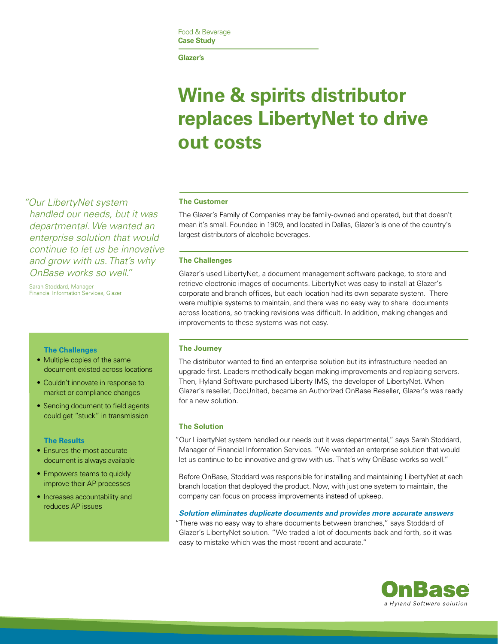**Glazer's**

# **Wine & spirits distributor replaces LibertyNet to drive out costs**

 *"Our LibertyNet system handled our needs, but it was departmental. We wanted an enterprise solution that would continue to let us be innovative and grow with us. That's why OnBase works so well."*

 – Sarah Stoddard, Manager Financial Information Services, Glazer

# **The Challenges**

- Multiple copies of the same document existed across locations
- Couldn't innovate in response to market or compliance changes
- Sending document to field agents could get "stuck" in transmission

#### **The Results**

- Ensures the most accurate document is always available
- Empowers teams to quickly improve their AP processes
- Increases accountability and reduces AP issues

# **The Customer**

The Glazer's Family of Companies may be family-owned and operated, but that doesn't mean it's small. Founded in 1909, and located in Dallas, Glazer's is one of the country's largest distributors of alcoholic beverages.

#### **The Challenges**

Glazer's used LibertyNet, a document management software package, to store and retrieve electronic images of documents. LibertyNet was easy to install at Glazer's corporate and branch offices, but each location had its own separate system. There were multiple systems to maintain, and there was no easy way to share documents across locations, so tracking revisions was difficult. In addition, making changes and improvements to these systems was not easy.

# **The Journey**

The distributor wanted to find an enterprise solution but its infrastructure needed an upgrade first. Leaders methodically began making improvements and replacing servers. Then, Hyland Software purchased Liberty IMS, the developer of LibertyNet. When Glazer's reseller, DocUnited, became an Authorized OnBase Reseller, Glazer's was ready for a new solution.

#### **The Solution**

 "Our LibertyNet system handled our needs but it was departmental," says Sarah Stoddard, Manager of Financial Information Services. "We wanted an enterprise solution that would let us continue to be innovative and grow with us. That's why OnBase works so well."

Before OnBase, Stoddard was responsible for installing and maintaining LibertyNet at each branch location that deployed the product. Now, with just one system to maintain, the company can focus on process improvements instead of upkeep.

#### *Solution eliminates duplicate documents and provides more accurate answers*

 "There was no easy way to share documents between branches," says Stoddard of Glazer's LibertyNet solution. "We traded a lot of documents back and forth, so it was easy to mistake which was the most recent and accurate."